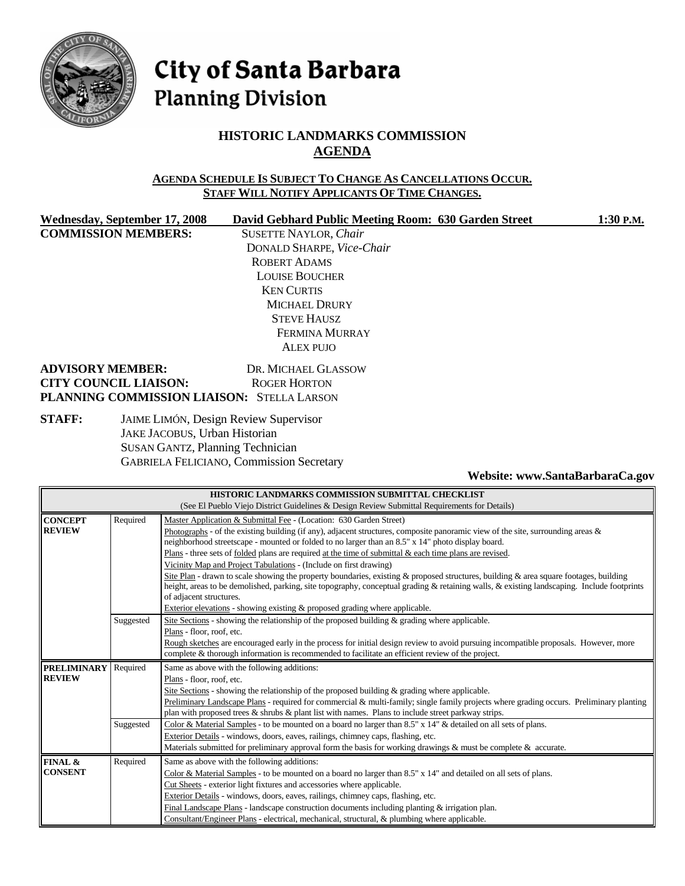

# City of Santa Barbara **Planning Division**

# **HISTORIC LANDMARKS COMMISSION AGENDA**

#### **AGENDA SCHEDULE IS SUBJECT TO CHANGE AS CANCELLATIONS OCCUR. STAFF WILL NOTIFY APPLICANTS OF TIME CHANGES.**

Wednesday, September 17, 2008 David Gebhard Public Meeting Room: 630 Garden Street 1:30 P.M. **COMMISSION MEMBERS:** SUSETTE NAYLOR, *Chair*

DONALD SHARPE, *Vice-Chair* ROBERT ADAMS LOUISE BOUCHER KEN CURTIS MICHAEL DRURY STEVE HAUSZ FERMINA MURRAY ALEX PUJO

#### **ADVISORY MEMBER:** DR. MICHAEL GLASSOW **CITY COUNCIL LIAISON:** ROGER HORTON **PLANNING COMMISSION LIAISON:** STELLA LARSON

#### **STAFF:** JAIME LIMÓN, Design Review Supervisor JAKE JACOBUS, Urban Historian SUSAN GANTZ, Planning Technician GABRIELA FELICIANO, Commission Secretary

#### **Website: www.SantaBarbaraCa.gov**

| HISTORIC LANDMARKS COMMISSION SUBMITTAL CHECKLIST |                                                                                              |                                                                                                                                            |  |  |  |
|---------------------------------------------------|----------------------------------------------------------------------------------------------|--------------------------------------------------------------------------------------------------------------------------------------------|--|--|--|
|                                                   | (See El Pueblo Viejo District Guidelines & Design Review Submittal Requirements for Details) |                                                                                                                                            |  |  |  |
| <b>CONCEPT</b>                                    | Required                                                                                     | Master Application & Submittal Fee - (Location: 630 Garden Street)                                                                         |  |  |  |
| <b>REVIEW</b>                                     |                                                                                              | Photographs - of the existing building (if any), adjacent structures, composite panoramic view of the site, surrounding areas &            |  |  |  |
|                                                   |                                                                                              | neighborhood streetscape - mounted or folded to no larger than an 8.5" x 14" photo display board.                                          |  |  |  |
|                                                   |                                                                                              | Plans - three sets of <u>folded</u> plans are required at the time of submittal & each time plans are revised.                             |  |  |  |
|                                                   |                                                                                              | Vicinity Map and Project Tabulations - (Include on first drawing)                                                                          |  |  |  |
|                                                   |                                                                                              | Site Plan - drawn to scale showing the property boundaries, existing & proposed structures, building & area square footages, building      |  |  |  |
|                                                   |                                                                                              | height, areas to be demolished, parking, site topography, conceptual grading & retaining walls, & existing landscaping. Include footprints |  |  |  |
|                                                   |                                                                                              | of adjacent structures.                                                                                                                    |  |  |  |
|                                                   |                                                                                              | Exterior elevations - showing existing & proposed grading where applicable.                                                                |  |  |  |
|                                                   | Suggested                                                                                    | Site Sections - showing the relationship of the proposed building $\&$ grading where applicable.                                           |  |  |  |
|                                                   |                                                                                              | Plans - floor, roof, etc.                                                                                                                  |  |  |  |
|                                                   |                                                                                              | Rough sketches are encouraged early in the process for initial design review to avoid pursuing incompatible proposals. However, more       |  |  |  |
|                                                   |                                                                                              | complete & thorough information is recommended to facilitate an efficient review of the project.                                           |  |  |  |
| <b>PRELIMINARY</b>                                | Required                                                                                     | Same as above with the following additions:                                                                                                |  |  |  |
| <b>REVIEW</b>                                     |                                                                                              | Plans - floor, roof, etc.                                                                                                                  |  |  |  |
|                                                   |                                                                                              | Site Sections - showing the relationship of the proposed building $\&$ grading where applicable.                                           |  |  |  |
|                                                   |                                                                                              | Preliminary Landscape Plans - required for commercial & multi-family; single family projects where grading occurs. Preliminary planting    |  |  |  |
|                                                   |                                                                                              | plan with proposed trees $\&$ shrubs $\&$ plant list with names. Plans to include street parkway strips.                                   |  |  |  |
|                                                   | Suggested                                                                                    | Color & Material Samples - to be mounted on a board no larger than 8.5" x 14" & detailed on all sets of plans.                             |  |  |  |
|                                                   |                                                                                              | Exterior Details - windows, doors, eaves, railings, chimney caps, flashing, etc.                                                           |  |  |  |
|                                                   |                                                                                              | Materials submitted for preliminary approval form the basis for working drawings & must be complete & accurate.                            |  |  |  |
| FINAL &                                           | Required                                                                                     | Same as above with the following additions:                                                                                                |  |  |  |
| <b>CONSENT</b>                                    |                                                                                              | Color & Material Samples - to be mounted on a board no larger than 8.5" x 14" and detailed on all sets of plans.                           |  |  |  |
|                                                   |                                                                                              | Cut Sheets - exterior light fixtures and accessories where applicable.                                                                     |  |  |  |
|                                                   |                                                                                              | Exterior Details - windows, doors, eaves, railings, chimney caps, flashing, etc.                                                           |  |  |  |
|                                                   |                                                                                              | Final Landscape Plans - landscape construction documents including planting $&$ irrigation plan.                                           |  |  |  |
|                                                   |                                                                                              | Consultant/Engineer Plans - electrical, mechanical, structural, & plumbing where applicable.                                               |  |  |  |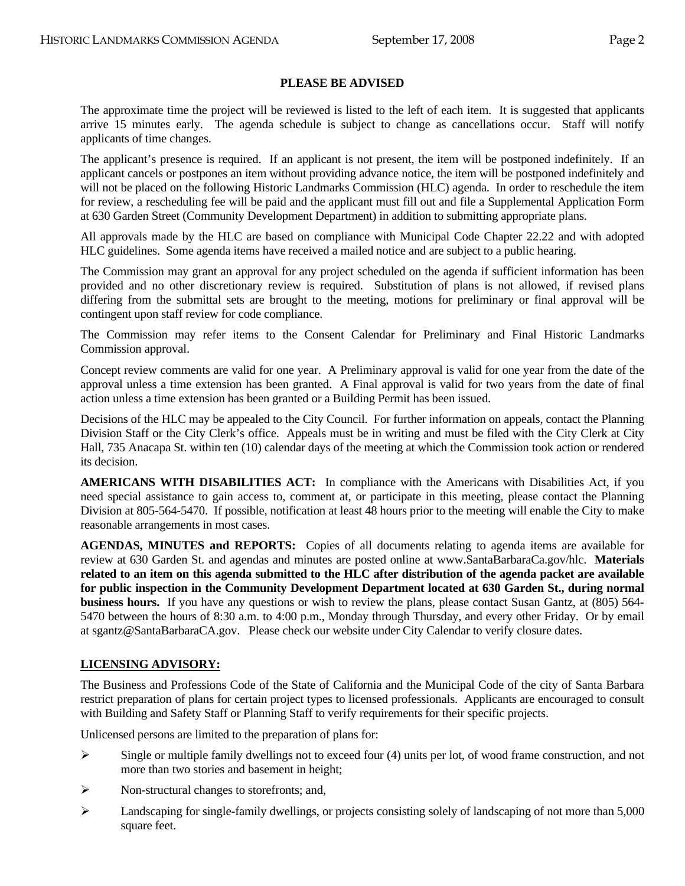#### **PLEASE BE ADVISED**

 The approximate time the project will be reviewed is listed to the left of each item. It is suggested that applicants arrive 15 minutes early. The agenda schedule is subject to change as cancellations occur. Staff will notify applicants of time changes.

 The applicant's presence is required. If an applicant is not present, the item will be postponed indefinitely. If an applicant cancels or postpones an item without providing advance notice, the item will be postponed indefinitely and will not be placed on the following Historic Landmarks Commission (HLC) agenda. In order to reschedule the item for review, a rescheduling fee will be paid and the applicant must fill out and file a Supplemental Application Form at 630 Garden Street (Community Development Department) in addition to submitting appropriate plans.

 All approvals made by the HLC are based on compliance with Municipal Code Chapter 22.22 and with adopted HLC guidelines. Some agenda items have received a mailed notice and are subject to a public hearing.

 The Commission may grant an approval for any project scheduled on the agenda if sufficient information has been provided and no other discretionary review is required. Substitution of plans is not allowed, if revised plans differing from the submittal sets are brought to the meeting, motions for preliminary or final approval will be contingent upon staff review for code compliance.

 The Commission may refer items to the Consent Calendar for Preliminary and Final Historic Landmarks Commission approval.

Concept review comments are valid for one year. A Preliminary approval is valid for one year from the date of the approval unless a time extension has been granted. A Final approval is valid for two years from the date of final action unless a time extension has been granted or a Building Permit has been issued.

Decisions of the HLC may be appealed to the City Council. For further information on appeals, contact the Planning Division Staff or the City Clerk's office. Appeals must be in writing and must be filed with the City Clerk at City Hall, 735 Anacapa St. within ten (10) calendar days of the meeting at which the Commission took action or rendered its decision.

 **AMERICANS WITH DISABILITIES ACT:** In compliance with the Americans with Disabilities Act, if you need special assistance to gain access to, comment at, or participate in this meeting, please contact the Planning Division at 805-564-5470. If possible, notification at least 48 hours prior to the meeting will enable the City to make reasonable arrangements in most cases.

 **AGENDAS, MINUTES and REPORTS:** Copies of all documents relating to agenda items are available for review at 630 Garden St. and agendas and minutes are posted online at www.SantaBarbaraCa.gov/hlc. **Materials related to an item on this agenda submitted to the HLC after distribution of the agenda packet are available for public inspection in the Community Development Department located at 630 Garden St., during normal business hours.** If you have any questions or wish to review the plans, please contact Susan Gantz, at (805) 564-5470 between the hours of 8:30 a.m. to 4:00 p.m., Monday through Thursday, and every other Friday. Or by email at sgantz@SantaBarbaraCA.gov. Please check our website under City Calendar to verify closure dates.

#### **LICENSING ADVISORY:**

The Business and Professions Code of the State of California and the Municipal Code of the city of Santa Barbara restrict preparation of plans for certain project types to licensed professionals. Applicants are encouraged to consult with Building and Safety Staff or Planning Staff to verify requirements for their specific projects.

Unlicensed persons are limited to the preparation of plans for:

- $\triangleright$  Single or multiple family dwellings not to exceed four (4) units per lot, of wood frame construction, and not more than two stories and basement in height;
- $\triangleright$  Non-structural changes to storefronts; and,
- ¾ Landscaping for single-family dwellings, or projects consisting solely of landscaping of not more than 5,000 square feet.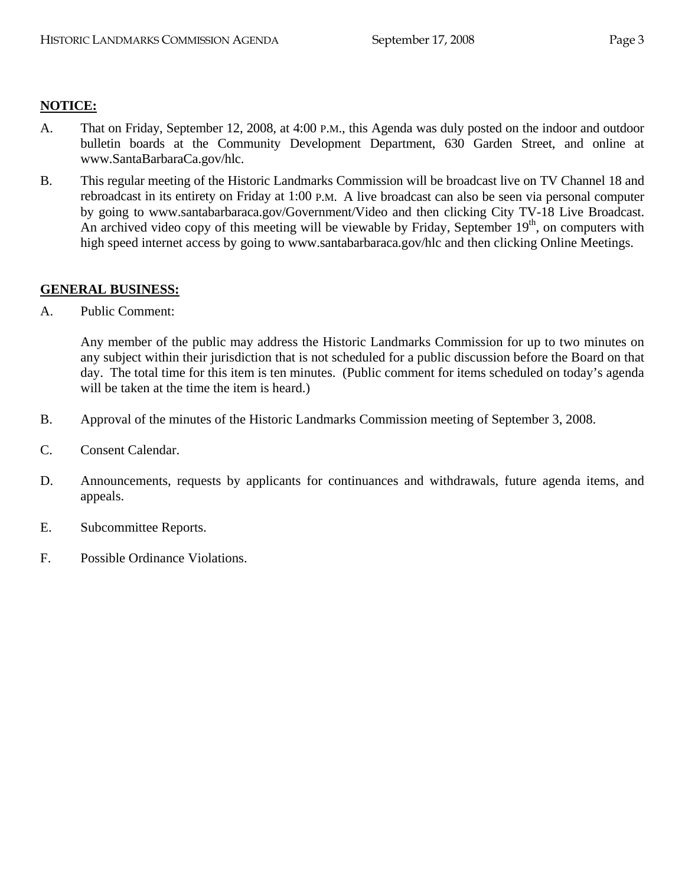## **NOTICE:**

- A. That on Friday, September 12, 2008, at 4:00 P.M., this Agenda was duly posted on the indoor and outdoor bulletin boards at the Community Development Department, 630 Garden Street, and online at www.SantaBarbaraCa.gov/hlc.
- B. This regular meeting of the Historic Landmarks Commission will be broadcast live on TV Channel 18 and rebroadcast in its entirety on Friday at 1:00 P.M. A live broadcast can also be seen via personal computer by going to www.santabarbaraca.gov/Government/Video and then clicking City TV-18 Live Broadcast. An archived video copy of this meeting will be viewable by Friday, September  $19<sup>th</sup>$ , on computers with high speed internet access by going to www.santabarbaraca.gov/hlc and then clicking Online Meetings.

# **GENERAL BUSINESS:**

A. Public Comment:

Any member of the public may address the Historic Landmarks Commission for up to two minutes on any subject within their jurisdiction that is not scheduled for a public discussion before the Board on that day. The total time for this item is ten minutes. (Public comment for items scheduled on today's agenda will be taken at the time the item is heard.)

- B. Approval of the minutes of the Historic Landmarks Commission meeting of September 3, 2008.
- C. Consent Calendar.
- D. Announcements, requests by applicants for continuances and withdrawals, future agenda items, and appeals.
- E. Subcommittee Reports.
- F. Possible Ordinance Violations.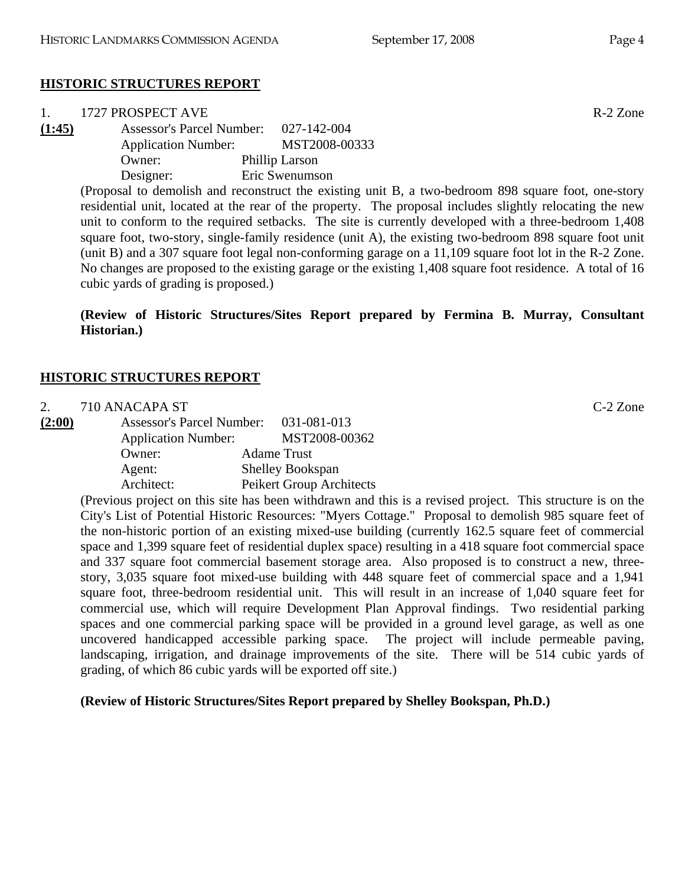### **HISTORIC STRUCTURES REPORT**

| $\mathbf{1}$ . | 1727 PROSPECT AVE                     |                | R-2 Zone |
|----------------|---------------------------------------|----------------|----------|
| (1:45)         | Assessor's Parcel Number: 027-142-004 |                |          |
|                | <b>Application Number:</b>            | MST2008-00333  |          |
|                | Owner:                                | Phillip Larson |          |
|                | Designer:                             | Eric Swenumson |          |

(Proposal to demolish and reconstruct the existing unit B, a two-bedroom 898 square foot, one-story residential unit, located at the rear of the property. The proposal includes slightly relocating the new unit to conform to the required setbacks. The site is currently developed with a three-bedroom 1,408 square foot, two-story, single-family residence (unit A), the existing two-bedroom 898 square foot unit (unit B) and a 307 square foot legal non-conforming garage on a 11,109 square foot lot in the R-2 Zone. No changes are proposed to the existing garage or the existing 1,408 square foot residence. A total of 16 cubic yards of grading is proposed.)

**(Review of Historic Structures/Sites Report prepared by Fermina B. Murray, Consultant Historian.)** 

#### **HISTORIC STRUCTURES REPORT**

2. 710 ANACAPA ST C-2 Zone

| (2:00) | <b>Assessor's Parcel Number:</b> | 031-081-013              |
|--------|----------------------------------|--------------------------|
|        | <b>Application Number:</b>       | MST2008-00362            |
|        | Owner:                           | <b>Adame Trust</b>       |
|        | Agent:                           | <b>Shelley Bookspan</b>  |
|        | Architect:                       | Peikert Group Architects |

(Previous project on this site has been withdrawn and this is a revised project. This structure is on the City's List of Potential Historic Resources: "Myers Cottage." Proposal to demolish 985 square feet of the non-historic portion of an existing mixed-use building (currently 162.5 square feet of commercial space and 1,399 square feet of residential duplex space) resulting in a 418 square foot commercial space and 337 square foot commercial basement storage area. Also proposed is to construct a new, threestory, 3,035 square foot mixed-use building with 448 square feet of commercial space and a 1,941 square foot, three-bedroom residential unit. This will result in an increase of 1,040 square feet for commercial use, which will require Development Plan Approval findings. Two residential parking spaces and one commercial parking space will be provided in a ground level garage, as well as one uncovered handicapped accessible parking space. The project will include permeable paving, landscaping, irrigation, and drainage improvements of the site. There will be 514 cubic yards of grading, of which 86 cubic yards will be exported off site.)

#### **(Review of Historic Structures/Sites Report prepared by Shelley Bookspan, Ph.D.)**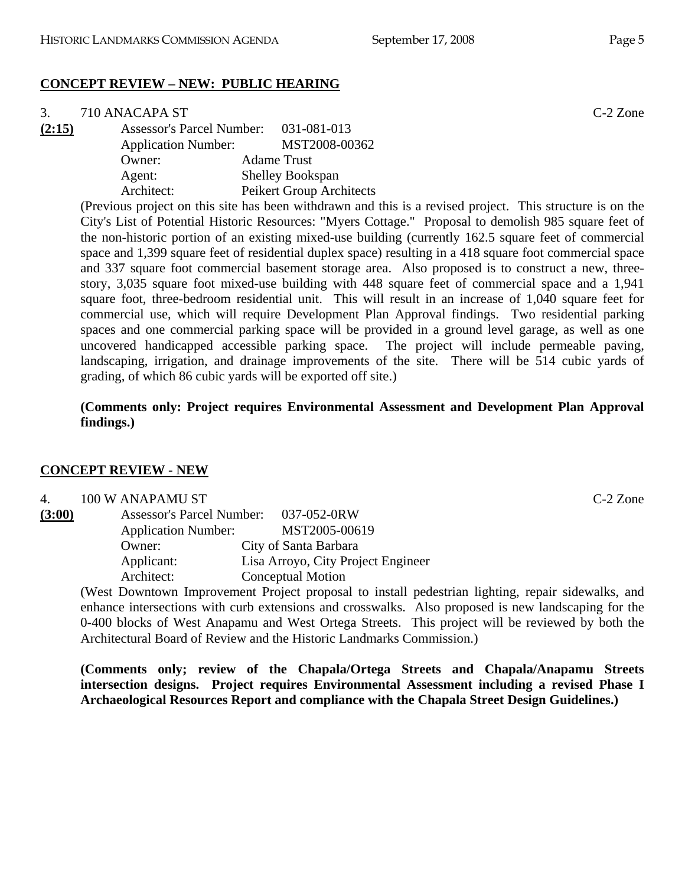# **CONCEPT REVIEW – NEW: PUBLIC HEARING**

| 3.     | 710 ANACAPA ST                        |                          | $C-2$ Zone |
|--------|---------------------------------------|--------------------------|------------|
| (2:15) | Assessor's Parcel Number: 031-081-013 |                          |            |
|        | <b>Application Number:</b>            | MST2008-00362            |            |
|        | Owner:                                | <b>Adame Trust</b>       |            |
|        | Agent:                                | Shelley Bookspan         |            |
|        | Architect:                            | Peikert Group Architects |            |
|        |                                       | .                        |            |

(Previous project on this site has been withdrawn and this is a revised project. This structure is on the City's List of Potential Historic Resources: "Myers Cottage." Proposal to demolish 985 square feet of the non-historic portion of an existing mixed-use building (currently 162.5 square feet of commercial space and 1,399 square feet of residential duplex space) resulting in a 418 square foot commercial space and 337 square foot commercial basement storage area. Also proposed is to construct a new, threestory, 3,035 square foot mixed-use building with 448 square feet of commercial space and a 1,941 square foot, three-bedroom residential unit. This will result in an increase of 1,040 square feet for commercial use, which will require Development Plan Approval findings. Two residential parking spaces and one commercial parking space will be provided in a ground level garage, as well as one uncovered handicapped accessible parking space. The project will include permeable paving, landscaping, irrigation, and drainage improvements of the site. There will be 514 cubic yards of grading, of which 86 cubic yards will be exported off site.)

#### **(Comments only: Project requires Environmental Assessment and Development Plan Approval findings.)**

### **CONCEPT REVIEW - NEW**

| 4.     | 100 W ANAPAMU ST                      |                                    | $C-2$ Zone |
|--------|---------------------------------------|------------------------------------|------------|
| (3:00) | Assessor's Parcel Number: 037-052-0RW |                                    |            |
|        | <b>Application Number:</b>            | MST2005-00619                      |            |
|        | Owner:                                | City of Santa Barbara              |            |
|        | Applicant:                            | Lisa Arroyo, City Project Engineer |            |
|        | Architect:                            | Conceptual Motion                  |            |

(West Downtown Improvement Project proposal to install pedestrian lighting, repair sidewalks, and enhance intersections with curb extensions and crosswalks. Also proposed is new landscaping for the 0-400 blocks of West Anapamu and West Ortega Streets. This project will be reviewed by both the Architectural Board of Review and the Historic Landmarks Commission.)

**(Comments only; review of the Chapala/Ortega Streets and Chapala/Anapamu Streets intersection designs. Project requires Environmental Assessment including a revised Phase I Archaeological Resources Report and compliance with the Chapala Street Design Guidelines.)**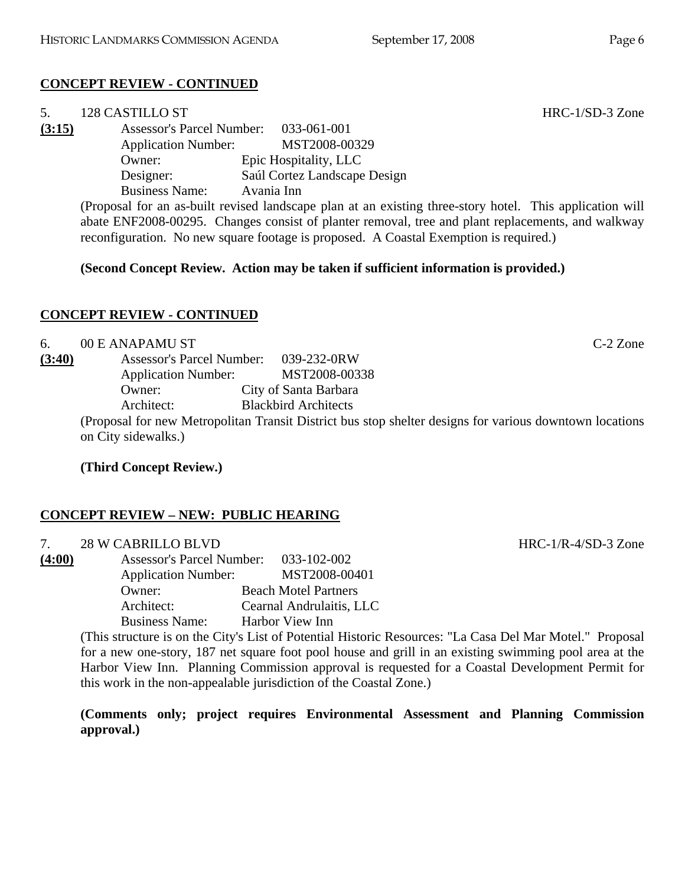# **CONCEPT REVIEW - CONTINUED**

| 5.     | 128 CASTILLO ST                  |                                                                                                          | $HRC-1/SD-3$ Zone |
|--------|----------------------------------|----------------------------------------------------------------------------------------------------------|-------------------|
| (3:15) | <b>Assessor's Parcel Number:</b> | 033-061-001                                                                                              |                   |
|        | <b>Application Number:</b>       | MST2008-00329                                                                                            |                   |
|        | Owner:                           | Epic Hospitality, LLC                                                                                    |                   |
|        | Designer:                        | Saúl Cortez Landscape Design                                                                             |                   |
|        | <b>Business Name:</b>            | Avania Inn                                                                                               |                   |
|        |                                  | (Proposal for an as-built revised landscape plan at an existing three-story hotel. This application will |                   |
|        |                                  | abate ENF2008-00295. Changes consist of planter removal, tree and plant replacements, and walkway        |                   |

#### **(Second Concept Review. Action may be taken if sufficient information is provided.)**

reconfiguration. No new square footage is proposed. A Coastal Exemption is required.)

#### **CONCEPT REVIEW - CONTINUED**

6. 00 E ANAPAMU ST C-2 Zone **(3:40)** Assessor's Parcel Number: 039-232-0RW Application Number: MST2008-00338 Owner: City of Santa Barbara Architect: Blackbird Architects (Proposal for new Metropolitan Transit District bus stop shelter designs for various downtown locations on City sidewalks.)

#### **(Third Concept Review.)**

### **CONCEPT REVIEW – NEW: PUBLIC HEARING**

| 7. | <b>28 W CABRILLO BLVD</b> |  |
|----|---------------------------|--|
|    |                           |  |

**(4:00)** Assessor's Parcel Number: 033-102-002 Application Number: MST2008-00401 Owner: Beach Motel Partners Architect: Cearnal Andrulaitis, LLC Business Name: Harbor View Inn

> (This structure is on the City's List of Potential Historic Resources: "La Casa Del Mar Motel." Proposal for a new one-story, 187 net square foot pool house and grill in an existing swimming pool area at the Harbor View Inn. Planning Commission approval is requested for a Coastal Development Permit for this work in the non-appealable jurisdiction of the Coastal Zone.)

> **(Comments only; project requires Environmental Assessment and Planning Commission approval.)**

 $HRC-1/R-4/SD-3$  Zone